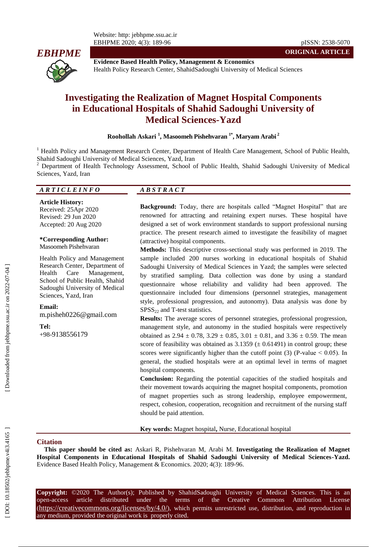

**Evidence Based Health Policy, Management & Economics** Health Policy Research Center, ShahidSadoughi University of Medical Sciences

# **Investigating the Realization of Magnet Hospital Components in Educational Hospitals of Shahid Sadoughi University of Medical Sciences -Yazd**

**Roohollah Askari 1 , Masoomeh Pishehvaran 1 \* , Maryam Arabi 2**

<sup>1</sup> Health Policy and Management Research Center, Department of Health Care Management, School of Public Health, Shahid Sadoughi University of Medical Sciences, Yazd, Iran<br><sup>2</sup> Department of Health Technology Assessment, School of Public Health, Shahid Sadoughi University of Medical

Sciences, Yazd, Iran

#### *A R T I C L E I N F O A B S T R A C T*

**Article History:** Received: 25Apr 2020 Revised: 29 Jun 2020 Accepted: 20 Aug 2020

#### **\*Corresponding Author:** Masoomeh Pishehvaran

Health Policy and Management Research Center, Department of Health Care Management, School of Public Health, Shahid Sadoughi University of Medical Sciences, Yazd, Iran

**Email:** m.pisheh0226@gmail.com

**Tel:** +98 -9138556179

**Background:** Today, there are hospitals called "Magnet Hospital" that are renowned for attracting and retaining expert nurses. These hospital have designed a set of work environment standards to support professional nursing practice. The present research aimed to investigate the feasibility of magnet (attractive) hospital components .

**Methods:** This descriptive cross -sectional study was performed in 2019. The sample included 200 nurses working in educational hospitals of Shahid Sadoughi University of Medical Sciences in Yazd; the samples were selected by stratified sampling. Data collection was done by using a standard questionnaire whose reliability and validity had been approved. The questionnaire included four dimensions (personnel strategies, management style, professional progression, and autonomy). Data analysis was done by  $SPSS<sub>22</sub>$  and T-test statistics.

**Results:** The average scores of personnel strategies, professional progression, management style, and autonomy in the studied hospitals were respectively obtained as  $2.94 \pm 0.78$ ,  $3.29 \pm 0.85$ ,  $3.01 \pm 0.81$ , and  $3.36 \pm 0.59$ . The mean score of feasibility was obtained as  $3.1359 \ (\pm 0.61491)$  in control group; these scores were significantly higher than the cutoff point  $(3)$  (P-value  $\leq 0.05$ ). In general, the studied hospitals were at an optimal level in terms of magnet hospital components.

**Conclusion:** Regarding the potential capacities of the studied hospitals and their movement towards acquiring the magnet hospital components, promotion of magnet properties such as strong leadership, employee empowerment, respect, cohesion, cooperation, recognition and recruitment of the nursing staff should be paid attention.

**Key words:** Magnet hospital**,** Nurse, Educational hospital

#### **Citation**

**This paper should be cited as:** Askari R, Pishehvaran M, Arabi M . **Investigating the Realization of Magnet**  Hospital Components in Educational Hospitals of Shahid Sadoughi University of Medical Sciences-Yazd. Evidence Based Health Policy, Management & Economics. 2020; 4(3): 189-96.

**Copyright:** ©2020 The Author(s); Published by ShahidSadoughi University of Medical Sciences. This is an open-access -access article distributed under the terms of the Creative Commons Attribution License (https://creativecommons.org/licenses/by/4.0/), which permits unrestricted use, distribution, and reproduction in any medium, provided the original work is properly cited.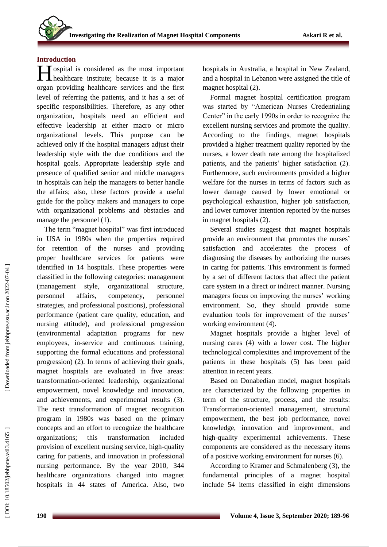## **Introduction**

**I** ospital is considered as the most important healthcare institute; because it is a major healthcare institute; because it is a major organ providing healthcare services and the first level of referring the patients, and it has a set of specific responsibilities. Therefore, as any other organization, hospitals need an efficient and effective leadership at either macro or micro organizational levels. This purpose can be achieved only if the hospital managers adjust their leadership style with the due conditions and the hospital goals. Appropriate leadership style and presence of qualified senior and middle managers in hospitals can help the managers to better handle the affairs; also, these factors provide a useful guide for the policy makers and managers to cope with organizational problems and obstacles and manage the personnel (1).

The term "magnet hospital" was first introduced in USA in 1980s when the properties required for retention of the nurses and providing proper healthcare services for patients were identified in 14 hospitals. These properties were classified in the following categories: management (management style, organizational structure, personnel affairs, competency, personnel strategies, and professional positions), professional performance (patient care quality, education, and nursing attitude), and professional progression (environmental adaptation programs for new employees, in -service and continuous training, supporting the formal educations and professional progression) (2). In terms of achieving their goals, magnet hospitals are evaluated in five areas: transformation -oriented leadership, organizational empowerment, novel knowledge and innovation, and achievements, and experimental results (3). The next transformation of magnet recognition program in 1980s was based on the primary concepts and an effort to recognize the healthcare organizations; this transformation included provision of excellent nursing service, high-quality caring for patients, and innovation in professional nursing performance. By the year 2010, 344 healthcare organizations changed into magnet hospitals in 44 states of America. Also, two

hospitals in Australia, a hospital in New Zealand, and a hospital in Lebanon were assigned the title of magnet hospital (2).

Formal magnet hospital certification program was started by "American Nurses Credentialing Center" in the early 1990s in order to recognize the excellent nursing services and promote the quality. According to the findings, magnet hospitals provided a higher treatment quality reported by the nurses, a lower death rate among the hospitalized patients, and the patients' higher satisfaction (2). Furthermore, such environments provided a higher welfare for the nurses in terms of factors such as lower damag e caused by lower emotional or psychological exhaustion, higher job satisfaction, and lower turnover intention reported by the nurses in magnet hospitals (2).

Several studies suggest that magnet hospitals provide an environment that promotes the nurses ' satisfaction and accelerates the process of diagnosing the diseases by authorizing the nurses in caring for patients. This environment is formed by a set of different factors that affect the patient care system in a direct or indirect manner. Nursing managers focus on improving the nurses' working environment. So, they should provide some evaluation tools for improvement of the nurses' working environment (4).

Magnet hospitals provide a higher level of nursing cares (4) with a lower cost. The higher technological complexities and improvement of the patients in these hospitals (5) has been paid attention in recent years.

Based on Donabedian model, magnet hospitals are characterized by the following properties in term of the structure, process, and the results: Transformation -oriented management, structural empowerment, the best job performance, novel knowledge, innovation and improvement, and high -quality experimental achievements. These components are considered as the necessary items of a positive working environment for nurses (6).

According to Kramer and Schmalenberg ( 3), the fundamental principles of a magnet hospital include 54 items classified in eight dimensions

DOI: 10.18502/jebhpne.v4i3.4165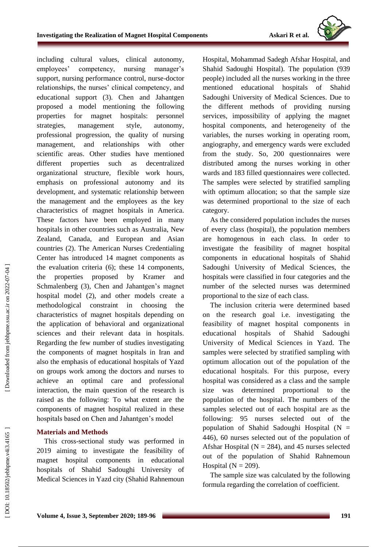

including cultural values, clinical autonomy, employees' competency, nursing manager's support, nursing performance control, nurse -doctor relationships, the nurses' clinical competency, and educational support (3). Chen and Jahantgen proposed a model mentioning the following properties for magnet hospitals: personnel strategies, management style, autonomy, professional progression, the quality of nursing management, and relationships with other scientific areas. Other studies have mentioned different properties such as decentralized organizational structure, flexible work hours, emphasis on professional autonomy and its development, and systematic relationship between the management and the employees as the key characteristics of magnet hospitals in America. These factors have been employed in many hospitals in other countries such as Australia, New Zealand, Canada, and European and Asian countries (2). The American Nurses Credentialing Center has introduced 14 magnet components as the evaluation criteria (6); these 14 components, the properties proposed by Kramer and Schmalenberg (3), Chen and Jahantgen's magnet hospital model (2), and other models create a methodological constraint in choosing the characteristics of magnet hospitals depending on the application of behavioral and organizational sciences and their relevant data in hospitals. Regarding the few number of studies investigating the components of magnet hospitals in Iran and also the emphasis of educational hospitals of Yazd on groups work among the doctors and nurses to achieve an optimal care and professional interaction, the main question of the research is raised as the following: To what extent are the components of magnet hospital realized in these hospitals based on Chen and Jahantgen's model

## **Materials and Methods**

This cross -sectional study was performed in 2019 aiming to investigate the feasibility of magnet hospital components in educational hospitals of Shahid Sadoughi University of Medical Sciences in Yazd city (Shahid Rahnemoun

Hospital, Mohammad Sadegh Afshar Hospital, and Shahid Sadoughi Hospital). The population (939 people) included all the nurses working in the three mentioned educational hospitals of Shahid Sadoughi University of Medical Sciences. Due to the different methods of providing nursing services, impossibility of applying the magnet hospital components, and heterogeneity of the variables, the nurses working in operating room, angiography, and emergency wards were excluded from the study. So, 200 questionnaires were distributed among the nurses working in other wards and 183 filled questionnaires were collected. The samples were selected by stratified sampling with optimum allocation; so that the sample size was determined proportional to the size of each category.

As the considered population includes the nurses of every class (hospital), the population members are homogenous in each class. In order to investigate the feasibility of magnet hospital components in educational hospitals of Shahid Sadoughi University of Medical Sciences, the hospitals were classified in four categories and the number of the selected nurses was determined proportional to the size of each class.

The inclusion criteria were determined based on the research goal i.e. investigating the feasibility of magnet hospital components in educational hospitals of Shahid Sadoughi University of Medical Sciences in Yazd. The samples were selected by stratified sampling with optimum allocation out of the population of the educational hospitals. For this purpose, every hospital was considered as a class and the sample size was determined proportional to the population of the hospital. The numbers of the samples selected out of each hospital are as the following: 95 nurses selected out of the population of Shahid Sadoughi Hospital ( N = 446), 60 nurses selected out of the population of Afshar Hospital ( $N = 284$ ), and 45 nurses selected out of the population of Shahid Rahnemoun Hospital ( $N = 209$ ).

The sample size was calculated by the following formula regarding the correlation of coefficient.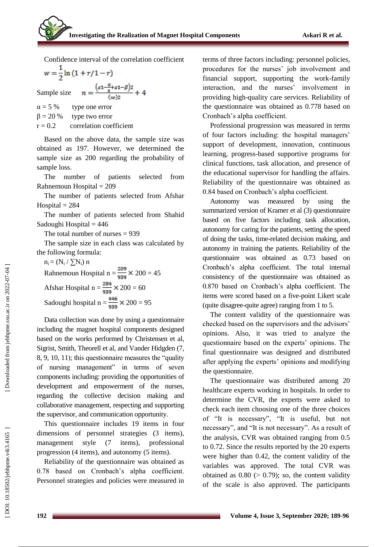Confidence interval of the correlation coefficient

$$
w = \frac{1}{2} \ln (1 + r/1 - r)
$$
  
sum be sign  $(z1 - \frac{\alpha}{2} + z1 - \beta)2$ 

Sample size  $n = \frac{2}{(w)2} + 4$ <br>  $\alpha = 5 \%$  type one error<br>  $\beta = 20 \%$  type two error<br>  $r = 0.2$  correlation coefficient

Based on the above data, the sample size was obtained as 197. However, we determined the sample size as 200 regarding the probability of sample loss.

The number of patients selected from Rahnemoun Hospital = 209

The number of patients selected from Afshar  $Hospital = 284$ 

The number of patients selected from Shahid Sadoughi Hospital = 446

The total number of nurses = 939

The sample size in each class was calculated by the following formula:

n<sub>i</sub> = (N<sub>i</sub> / 
$$
\sum
$$
N<sub>i</sub>) n  
Rahnemoun Hospital n =  $\frac{209}{939} \times 200 = 45$   
Afshar Hospital n =  $\frac{284}{939} \times 200 = 60$   
Sadoughi hospital n =  $\frac{446}{939} \times 200 = 95$ 

Data collection was done by using a questionnaire including the magnet hospital components designed based on the works performed by Christensen et al, Sigrist, Smith, Theorell et al, and Vander Hidgden ( 7, 8, 9, 10, 11); this questionnaire measures the "quality of nursing management" in terms of seven components including: providing the opportunities of development and empowerment of the nurses, regarding the collective decision making and collaborative management, respecting and supporting the supervisor, and communication opportunity.

This questionnaire includes 19 items in four dimensions of personnel strategies (3 items), management style (7 items), professional progression (4 items), and autonomy (5 items).

Reliability of the questionnaire was obtained as 0.78 based on Cronbach's alpha coefficient. Personnel strategies and policies were measured in terms of three factors including: personnel policies, procedures for the nurses' job involvement and financial support, supporting the work -family interaction, and the nurses' involvement in providing high -quality care services. Reliability of the questionnaire was obtained as 0.778 based on Cronbach's alpha coefficient.

Professional progression was measured in terms of four factors including: the hospital managers' support of development, innovation, continuous learning, progress -based supportive programs for clinical functions, task allocation, and presence of the educational supervisor for handling the affairs. Reliability of the questionnaire was obtained as 0.84 based on Cronbach's alpha coefficient.

Autonomy was measured by using the summarized version of Kramer et al (3) questionnaire based on five factors including task allocation , autonomy for caring for the patients, setting the speed of doing the tasks, time -related decision making, and autonomy in training the patients. Reliability of the questionnaire was obtained as 0.73 based on Cronbach's alpha coefficient. The total internal consistency of the questionnaire was obtained as 0.870 based on Cronbach's alpha coefficient. The items were scored based on a five -point Likert scale (quite disagree -quite agree) ranging from 1 to 5.

The content validity of the questionnaire was checked based on the supervisors and the advisors' opinions. Also, it was tried to analyze the questionnaire based on the experts' opinions. The final questionnaire was designed and distributed after applying the experts' opinions and modifying the questionnaire.

The questionnaire was distributed among 20 healthcare experts working in hospitals. In order to determine the CVR, the experts were asked to check each item choosing one of the three choices of "It is necessary", "It is useful, but not necessary", and "It is not necessary". As a result of the analysis, CVR was obtained ranging from 0.5 to 0.72. Since the results reported by the 20 experts were higher than 0.42, the content validity of the variables was approved. The total CVR was obtained as  $0.80$  ( $> 0.79$ ); so, the content validity of the scale is also approved. The participants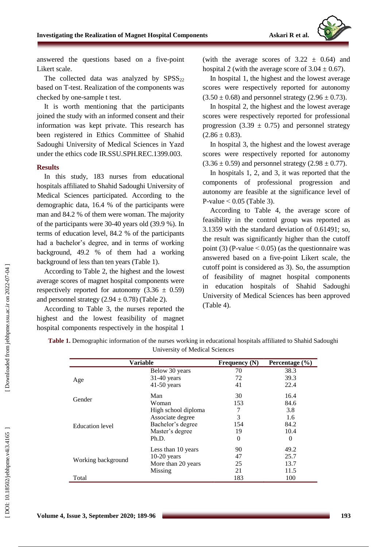

answered the questions based on a five -point Likert scale.

The collected data was analyzed by  $SPSS_{22}$ based on T -test. Realization of the components was checked by one -sample t test.

It is worth mentioning that the participants joined the study with an informed consent and their information was kept private. This research has been registered in Ethics Committee of Shahid Sadoughi University of Medical Sciences in Yazd under the ethics code IR.SSU.SPH.REC.1399.003.

#### **Results**

In this study, 183 nurses from educational hospitals affiliated to Shahid Sadoughi University of Medical Sciences participated. According to the demographic data, 16.4 % of the participants were man and 84. 2 % of them were woman. The majority of the participants were 30 -40 years old (39.9 %). In terms of education level, 84.2 % of the participants had a bachelor's degree, and in terms of working background, 49.2 % of them had a working background of less than ten years ( Table 1).

According to Table 2, the highest and the lowest average scores of magnet hospital components were respectively reported for autonomy  $(3.36 \pm 0.59)$ and personnel strategy  $(2.94 \pm 0.78)$  (Table 2).

According to Table 3, the nurses reported the highest and the lowest feasibility of magnet hospital components respectively in the hospital 1

(with the average scores of  $3.22 \pm 0.64$ ) and hospital 2 (with the average score of  $3.04 \pm 0.67$ ).

In hospital 1, the highest and the lowest average scores were respectively reported for autonomy  $(3.50 \pm 0.68)$  and personnel strategy  $(2.96 \pm 0.73)$ .

In hospital 2, the highest and the lowest average scores were respectively reported for professional progression  $(3.39 \pm 0.75)$  and personnel strategy  $(2.86 \pm 0.83).$ 

In hospital 3, the highest and the lowest average scores were respectively reported for autonomy  $(3.36 \pm 0.59)$  and personnel strategy  $(2.98 \pm 0.77)$ .

In hospitals 1, 2, and 3, it was reported that the components of professional progression and autonomy are feasible at the significance level of  $P$ -value  $< 0.05$  (Table 3).

According to Table 4, the average score of feasibility in the control group was reported as 3.1359 with the standard deviation of 0.61491; so, the result was significantly higher than the cutoff point (3) (P-value  $\leq$  0.05) (as the questionnaire was answered based on a five -point Likert scale, the cutoff point is considered as 3). So, the assumption of feasibility of magnet hospital components in education hospitals of Shahid Sadoughi University of Medical Sciences has been approved (Table 4).

| <b>Variable</b>        |                     | <b>Frequency</b> (N) | Percentage (%) |  |
|------------------------|---------------------|----------------------|----------------|--|
|                        | Below 30 years      | 70                   | 38.3           |  |
| Age                    | $31-40$ years       | 72                   | 39.3           |  |
|                        | $41-50$ years       | 41                   | 22.4           |  |
| Gender                 | Man                 | 30                   | 16.4           |  |
|                        | Woman               | 153                  | 84.6           |  |
| <b>Education</b> level | High school diploma | 7                    | 3.8            |  |
|                        | Associate degree    | 3                    | 1.6            |  |
|                        | Bachelor's degree   | 154                  | 84.2           |  |
|                        | Master's degree     | 19                   | 10.4           |  |
|                        | Ph.D.               | $\Omega$             | $\Omega$       |  |
| Working background     | Less than 10 years  | 90                   | 49.2           |  |
|                        | $10-20$ years       | 47                   | 25.7           |  |
|                        | More than 20 years  | 25                   | 13.7           |  |
|                        | Missing             | 21                   | 11.5           |  |
| Total                  |                     | 183                  | 100            |  |

**Table 1.** Demographic information of the nurses working in educational hospitals affiliated to Shahid Sadoughi University of Medical Sciences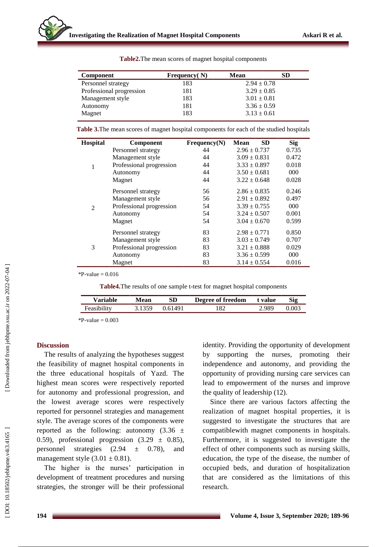| <b>Component</b>         | Frequency $(N)$ | <b>Mean</b>     | <b>SD</b> |
|--------------------------|-----------------|-----------------|-----------|
| Personnel strategy       | 183             | $2.94 \pm 0.78$ |           |
| Professional progression | 181             | $3.29 \pm 0.85$ |           |
| Management style         | 183             | $3.01 \pm 0.81$ |           |
| Autonomy                 | 181             | $3.36 \pm 0.59$ |           |
| Magnet                   | 183             | $3.13 \pm 0.61$ |           |
|                          |                 |                 |           |

**Table2.**The mean scores of magnet hospital components

**Table 3.**The mean scores of magnet hospital components for each of the studied hospitals

| <b>Hospital</b> | <b>Component</b>         | Frequency(N) | <b>SD</b><br>Mean | <b>Sig</b> |
|-----------------|--------------------------|--------------|-------------------|------------|
| 1               | Personnel strategy       | 44           | $2.96 \pm 0.737$  | 0.735      |
|                 | Management style         | 44           | $3.09 \pm 0.831$  | 0.472      |
|                 | Professional progression | 44           | $3.33 \pm 0.897$  | 0.018      |
|                 | Autonomy                 | 44           | $3.50 \pm 0.681$  | 000        |
|                 | Magnet                   | 44           | $3.22 \pm 0.648$  | 0.028      |
| $\overline{2}$  | Personnel strategy       | 56           | $2.86 \pm 0.835$  | 0.246      |
|                 | Management style         | 56           | $2.91 \pm 0.892$  | 0.497      |
|                 | Professional progression | 54           | $3.39 \pm 0.755$  | 000        |
|                 | Autonomy                 | 54           | $3.24 \pm 0.507$  | 0.001      |
|                 | Magnet                   | 54           | $3.04 \pm 0.670$  | 0.599      |
| 3               | Personnel strategy       | 83           | $2.98 \pm 0.771$  | 0.850      |
|                 | Management style         | 83           | $3.03 \pm 0.749$  | 0.707      |
|                 | Professional progression | 83           | $3.21 \pm 0.888$  | 0.029      |
|                 | Autonomy                 | 83           | $3.36 \pm 0.599$  | 000        |
|                 | Magnet                   | 83           | $3.14 \pm 0.554$  | 0.016      |

 $P-value = 0.016$ 

**Table4.**The results of one sample t -test for magnet hospital components

| <b>Variable</b> | Mean   | SD      | <b>Degree of freedom</b> | t value | Sig   |
|-----------------|--------|---------|--------------------------|---------|-------|
| Feasibility     | 3.1359 | 0.61491 | 182                      | ∠989.   | 0.003 |

 $*P-value = 0.003$ 

#### **Discussion**

The results of analyzing the hypotheses suggest the feasibility of magnet hospital components in the three educational hospitals of Yazd. The highest mean scores were respectively reported for autonomy and professional progression, and the lowest average scores were respectively reported for personnel strategies and management style. The average scores of the components were reported as the following: autonomy  $(3.36 \pm$ 0.59), professional progression  $(3.29 \pm 0.85)$ , personnel strategies  $(2.94 \pm 0.78)$ , and management style  $(3.01 \pm 0.81)$ .

The higher is the nurses' participation in development of treatment procedures and nursing strategies, the stronger will be their professional identity. Providing the opportunity of development by supporting the nurses, promoting their independence and autonomy, and providing the opportunity of providing nursing care services can lead to empowerment of the nurses and improve the quality of leadership (12).

Since there are various factors affecting the realization of magnet hospital properties, it is suggested to investigate the structures that are compatiblewith magnet components in hospitals. Furthermore, it is suggested to investigate the effect of other components such as nursing skills, education, the type of the disease, the number of occupied beds, and duration of hospitalization that are considered as the limitations of this research.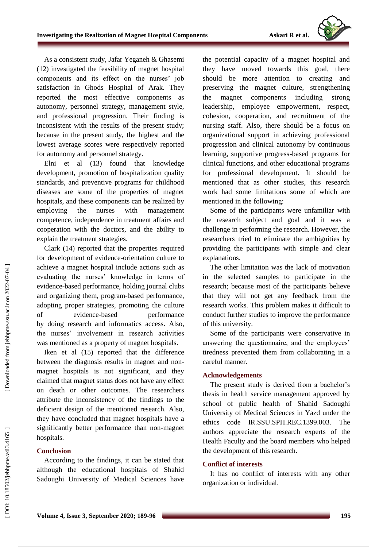

As a consistent study, Jafar Yeganeh & Ghasemi (12) investigated the feasibility of magnet hospital components and its effect on the nurses' job satisfaction in Ghods Hospital of Arak. They reported the most effective components as autonomy, personnel strategy, management style, and professional progression. Their finding is inconsistent with the results of the present study; because in the present study, the highest and the lowest average scores were respectively reported for autonomy and personnel strategy.

Elni et al (13) found that knowledge development, promotion of hospitalization quality standards, and preventive programs for childhood diseases are some of the properties of magnet hospitals, and these components can be realized by employing the nurses with management competence, independence in treatment affairs and cooperation with the doctors, and the ability to explain the treatment strategies.

Clark (14) reported that the properties required for development of evidence -orientation culture to achieve a magnet hospital include actions such as evaluating the nurses' knowledge in terms of evidence -based performance, holding journal clubs and organizing them, program -based performance, adopting proper strategies, promoting the culture of evidence performance by doing research and informatic s access. Also, the nurses' involvement in research activities was mentioned as a property of magnet hospitals.

Iken et al (15) reported that the difference between the diagnosis results in magnet and non magnet hospitals is not significant, and they claimed that magnet status does not have any effect on death or other outcomes. The researchers attribute the inconsistency of the findings to the deficient design of the mentioned research. Also, they have concluded that magnet hospitals have a significantly better performance than non -magnet hospitals.

## **Conclusion**

According to the findings, it can be stated that although the educational hospitals of Shahid Sadoughi University of Medical Sciences have the potential capacity of a magnet hospital and they have moved towards this goal, there should be more attention to creating and preserving the magnet culture, strengthening the magnet components including strong leadership, employee empowerment, respect, cohesion, cooperation, and recruitment of the nursing staff. Also, there should be a focus on organizational support in achieving professional progression and clinical autonomy by continuous learning, supportive progress -based programs for clinical functions, and other educational programs for professional development. It should be mentioned that as other studies, this research work had some limitations some of which are mentioned in the following:

Some of the participants were unfamiliar with the research subject and goal and it was a challenge in performing the research. However, the researchers tried to eliminate the ambiguities by providing the participants with simple and clear explanations.

The other limitation was the lack of motivation in the selected samples to participate in the research; because most of the participants believe that they will not get any feedback from the research works. This problem makes it difficult to conduct further studies to improve the performance of this university.

Some of the participants were conservative in answering the questionnaire, and the employees' tiredness prevented them from collaborating in a careful manner.

### **Acknowledgement s**

The present study is derived from a bachelor's thesis in health service management approved by school of public health of Shahid Sadoughi University of Medical Sciences in Yazd under the ethics code IR.SSU.SPH.REC.1399.003. The authors appreciate the research expert s of the Health Faculty and the board members who helped the development of this research.

#### **Conflict of interests**

It has no conflict of interests with any other organization or individual.